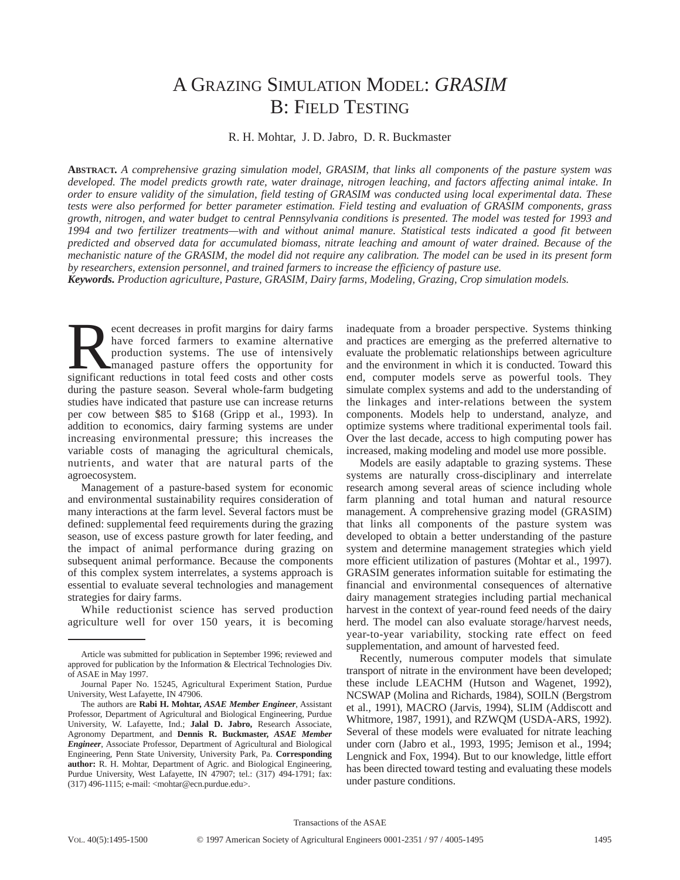# A GRAZING SIMULATION MODEL: *GRASIM* B: FIELD TESTING

R. H. Mohtar, J. D. Jabro, D. R. Buckmaster

**ABSTRACT.** *A comprehensive grazing simulation model, GRASIM, that links all components of the pasture system was developed. The model predicts growth rate, water drainage, nitrogen leaching, and factors affecting animal intake. In order to ensure validity of the simulation, field testing of GRASIM was conducted using local experimental data. These tests were also performed for better parameter estimation. Field testing and evaluation of GRASIM components, grass growth, nitrogen, and water budget to central Pennsylvania conditions is presented. The model was tested for 1993 and 1994 and two fertilizer treatments—with and without animal manure. Statistical tests indicated a good fit between predicted and observed data for accumulated biomass, nitrate leaching and amount of water drained. Because of the mechanistic nature of the GRASIM, the model did not require any calibration. The model can be used in its present form by researchers, extension personnel, and trained farmers to increase the efficiency of pasture use.* 

*Keywords. Production agriculture, Pasture, GRASIM, Dairy farms, Modeling, Grazing, Crop simulation models.*

significant decreases in profit margins for dairy farms have forced farmers to examine alternative production systems. The use of intensively managed pasture offers the opportunity for significant reductions in total feed have forced farmers to examine alternative production systems. The use of intensively managed pasture offers the opportunity for during the pasture season. Several whole-farm budgeting studies have indicated that pasture use can increase returns per cow between \$85 to \$168 (Gripp et al., 1993). In addition to economics, dairy farming systems are under increasing environmental pressure; this increases the variable costs of managing the agricultural chemicals, nutrients, and water that are natural parts of the agroecosystem.

Management of a pasture-based system for economic and environmental sustainability requires consideration of many interactions at the farm level. Several factors must be defined: supplemental feed requirements during the grazing season, use of excess pasture growth for later feeding, and the impact of animal performance during grazing on subsequent animal performance. Because the components of this complex system interrelates, a systems approach is essential to evaluate several technologies and management strategies for dairy farms.

While reductionist science has served production agriculture well for over 150 years, it is becoming

inadequate from a broader perspective. Systems thinking and practices are emerging as the preferred alternative to evaluate the problematic relationships between agriculture and the environment in which it is conducted. Toward this end, computer models serve as powerful tools. They simulate complex systems and add to the understanding of the linkages and inter-relations between the system components. Models help to understand, analyze, and optimize systems where traditional experimental tools fail. Over the last decade, access to high computing power has increased, making modeling and model use more possible.

Models are easily adaptable to grazing systems. These systems are naturally cross-disciplinary and interrelate research among several areas of science including whole farm planning and total human and natural resource management. A comprehensive grazing model (GRASIM) that links all components of the pasture system was developed to obtain a better understanding of the pasture system and determine management strategies which yield more efficient utilization of pastures (Mohtar et al., 1997). GRASIM generates information suitable for estimating the financial and environmental consequences of alternative dairy management strategies including partial mechanical harvest in the context of year-round feed needs of the dairy herd. The model can also evaluate storage/harvest needs, year-to-year variability, stocking rate effect on feed supplementation, and amount of harvested feed.

Recently, numerous computer models that simulate transport of nitrate in the environment have been developed; these include LEACHM (Hutson and Wagenet, 1992), NCSWAP (Molina and Richards, 1984), SOILN (Bergstrom et al., 1991), MACRO (Jarvis, 1994), SLIM (Addiscott and Whitmore, 1987, 1991), and RZWQM (USDA-ARS, 1992). Several of these models were evaluated for nitrate leaching under corn (Jabro et al., 1993, 1995; Jemison et al., 1994; Lengnick and Fox, 1994). But to our knowledge, little effort has been directed toward testing and evaluating these models under pasture conditions.

Article was submitted for publication in September 1996; reviewed and approved for publication by the Information & Electrical Technologies Div. of ASAE in May 1997.

Journal Paper No. 15245, Agricultural Experiment Station, Purdue University, West Lafayette, IN 47906.

The authors are **Rabi H. Mohtar,** *ASAE Member Engineer*, Assistant Professor, Department of Agricultural and Biological Engineering, Purdue University, W. Lafayette, Ind.; **Jalal D. Jabro,** Research Associate, Agronomy Department, and **Dennis R. Buckmaster,** *ASAE Member Engineer*, Associate Professor, Department of Agricultural and Biological Engineering, Penn State University, University Park, Pa. **Corresponding author:** R. H. Mohtar, Department of Agric. and Biological Engineering, Purdue University, West Lafayette, IN 47907; tel.: (317) 494-1791; fax: (317) 496-1115; e-mail: <mohtar@ecn.purdue.edu>.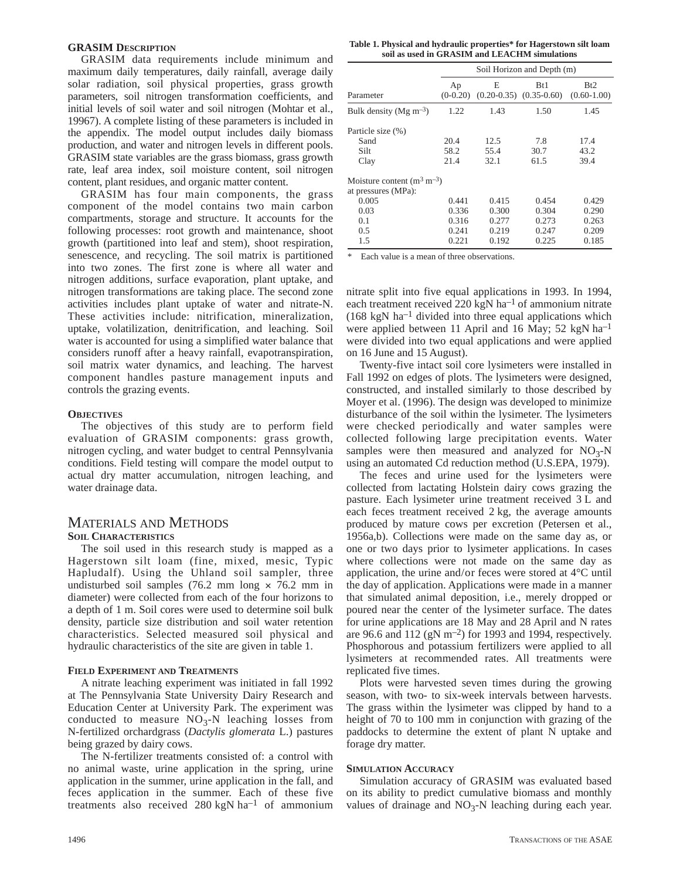## **GRASIM DESCRIPTION**

GRASIM data requirements include minimum and maximum daily temperatures, daily rainfall, average daily solar radiation, soil physical properties, grass growth parameters, soil nitrogen transformation coefficients, and initial levels of soil water and soil nitrogen (Mohtar et al., 19967). A complete listing of these parameters is included in the appendix. The model output includes daily biomass production, and water and nitrogen levels in different pools. GRASIM state variables are the grass biomass, grass growth rate, leaf area index, soil moisture content, soil nitrogen content, plant residues, and organic matter content.

GRASIM has four main components, the grass component of the model contains two main carbon compartments, storage and structure. It accounts for the following processes: root growth and maintenance, shoot growth (partitioned into leaf and stem), shoot respiration, senescence, and recycling. The soil matrix is partitioned into two zones. The first zone is where all water and nitrogen additions, surface evaporation, plant uptake, and nitrogen transformations are taking place. The second zone activities includes plant uptake of water and nitrate-N. These activities include: nitrification, mineralization, uptake, volatilization, denitrification, and leaching. Soil water is accounted for using a simplified water balance that considers runoff after a heavy rainfall, evapotranspiration, soil matrix water dynamics, and leaching. The harvest component handles pasture management inputs and controls the grazing events.

## **OBJECTIVES**

The objectives of this study are to perform field evaluation of GRASIM components: grass growth, nitrogen cycling, and water budget to central Pennsylvania conditions. Field testing will compare the model output to actual dry matter accumulation, nitrogen leaching, and water drainage data.

# MATERIALS AND METHODS **SOIL CHARACTERISTICS**

The soil used in this research study is mapped as a Hagerstown silt loam (fine, mixed, mesic, Typic Hapludalf). Using the Uhland soil sampler, three undisturbed soil samples  $(76.2 \text{ mm long} \times 76.2 \text{ mm in})$ diameter) were collected from each of the four horizons to a depth of 1 m. Soil cores were used to determine soil bulk density, particle size distribution and soil water retention characteristics. Selected measured soil physical and hydraulic characteristics of the site are given in table 1.

### **FIELD EXPERIMENT AND TREATMENTS**

A nitrate leaching experiment was initiated in fall 1992 at The Pennsylvania State University Dairy Research and Education Center at University Park. The experiment was conducted to measure  $NO<sub>3</sub>-N$  leaching losses from N-fertilized orchardgrass (*Dactylis glomerata* L.) pastures being grazed by dairy cows.

The N-fertilizer treatments consisted of: a control with no animal waste, urine application in the spring, urine application in the summer, urine application in the fall, and feces application in the summer. Each of these five treatments also received  $280 \text{ kgN} \text{ ha}^{-1}$  of ammonium

| Table 1. Physical and hydraulic properties* for Hagerstown silt loam |
|----------------------------------------------------------------------|
| soil as used in GRASIM and LEACHM simulations                        |

|                                 | Soil Horizon and Depth (m) |       |                                                |                      |
|---------------------------------|----------------------------|-------|------------------------------------------------|----------------------|
| Parameter                       | Ap<br>$(0-0.20)$           | E     | B <sub>t1</sub><br>$(0.20-0.35)$ $(0.35-0.60)$ | Bt2<br>$(0.60-1.00)$ |
| Bulk density (Mg $m^{-3}$ )     | 1.22                       | 1.43  | 1.50                                           | 1.45                 |
| Particle size (%)               |                            |       |                                                |                      |
| Sand                            | 20.4                       | 12.5  | 7.8                                            | 17.4                 |
| Silt                            | 58.2                       | 55.4  | 30.7                                           | 43.2                 |
| Clay                            | 21.4                       | 32.1  | 61.5                                           | 39.4                 |
| Moisture content $(m^3 m^{-3})$ |                            |       |                                                |                      |
| at pressures (MPa):             |                            |       |                                                |                      |
| 0.005                           | 0.441                      | 0.415 | 0.454                                          | 0.429                |
| 0.03                            | 0.336                      | 0.300 | 0.304                                          | 0.290                |
| 0.1                             | 0.316                      | 0.277 | 0.273                                          | 0.263                |
| 0.5                             | 0.241                      | 0.219 | 0.247                                          | 0.209                |
| 1.5                             | 0.221                      | 0.192 | 0.225                                          | 0.185                |

Each value is a mean of three observations.

nitrate split into five equal applications in 1993. In 1994, each treatment received 220 kgN ha–1 of ammonium nitrate  $(168 \text{ kgN} \text{ ha}^{-1})$  divided into three equal applications which were applied between 11 April and 16 May; 52 kgN ha<sup>-1</sup> were divided into two equal applications and were applied on 16 June and 15 August).

Twenty-five intact soil core lysimeters were installed in Fall 1992 on edges of plots. The lysimeters were designed, constructed, and installed similarly to those described by Moyer et al. (1996). The design was developed to minimize disturbance of the soil within the lysimeter. The lysimeters were checked periodically and water samples were collected following large precipitation events. Water samples were then measured and analyzed for  $NO<sub>3</sub>-N$ using an automated Cd reduction method (U.S.EPA, 1979).

The feces and urine used for the lysimeters were collected from lactating Holstein dairy cows grazing the pasture. Each lysimeter urine treatment received 3 L and each feces treatment received 2 kg, the average amounts produced by mature cows per excretion (Petersen et al., 1956a,b). Collections were made on the same day as, or one or two days prior to lysimeter applications. In cases where collections were not made on the same day as application, the urine and/or feces were stored at 4°C until the day of application. Applications were made in a manner that simulated animal deposition, i.e., merely dropped or poured near the center of the lysimeter surface. The dates for urine applications are 18 May and 28 April and N rates are 96.6 and 112 (gN  $\text{m}^{-2}$ ) for 1993 and 1994, respectively. Phosphorous and potassium fertilizers were applied to all lysimeters at recommended rates. All treatments were replicated five times.

Plots were harvested seven times during the growing season, with two- to six-week intervals between harvests. The grass within the lysimeter was clipped by hand to a height of 70 to 100 mm in conjunction with grazing of the paddocks to determine the extent of plant N uptake and forage dry matter.

#### **SIMULATION ACCURACY**

Simulation accuracy of GRASIM was evaluated based on its ability to predict cumulative biomass and monthly values of drainage and  $NO_3-N$  leaching during each year.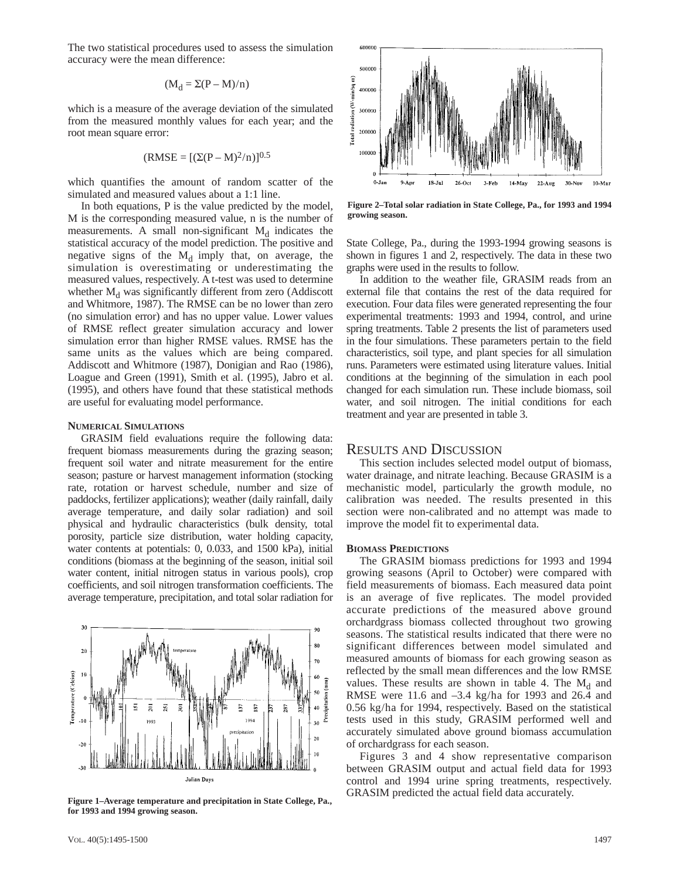The two statistical procedures used to assess the simulation accuracy were the mean difference:

$$
(M_d = \Sigma (P - M)/n)
$$

which is a measure of the average deviation of the simulated from the measured monthly values for each year; and the root mean square error:

$$
(RMSE = [(\Sigma(P - M)^2/n)]^{0.5}
$$

which quantifies the amount of random scatter of the simulated and measured values about a 1:1 line.

In both equations, P is the value predicted by the model, M is the corresponding measured value, n is the number of measurements. A small non-significant  $M_d$  indicates the statistical accuracy of the model prediction. The positive and negative signs of the  $M_d$  imply that, on average, the simulation is overestimating or underestimating the measured values, respectively. A t-test was used to determine whether  $M_d$  was significantly different from zero (Addiscott and Whitmore, 1987). The RMSE can be no lower than zero (no simulation error) and has no upper value. Lower values of RMSE reflect greater simulation accuracy and lower simulation error than higher RMSE values. RMSE has the same units as the values which are being compared. Addiscott and Whitmore (1987), Donigian and Rao (1986), Loague and Green (1991), Smith et al. (1995), Jabro et al. (1995), and others have found that these statistical methods are useful for evaluating model performance.

## **NUMERICAL SIMULATIONS**

GRASIM field evaluations require the following data: frequent biomass measurements during the grazing season; frequent soil water and nitrate measurement for the entire season; pasture or harvest management information (stocking rate, rotation or harvest schedule, number and size of paddocks, fertilizer applications); weather (daily rainfall, daily average temperature, and daily solar radiation) and soil physical and hydraulic characteristics (bulk density, total porosity, particle size distribution, water holding capacity, water contents at potentials: 0, 0.033, and 1500 kPa), initial conditions (biomass at the beginning of the season, initial soil water content, initial nitrogen status in various pools), crop coefficients, and soil nitrogen transformation coefficients. The average temperature, precipitation, and total solar radiation for



**Figure 1–Average temperature and precipitation in State College, Pa., for 1993 and 1994 growing season.**



**Figure 2–Total solar radiation in State College, Pa., for 1993 and 1994 growing season.**

State College, Pa., during the 1993-1994 growing seasons is shown in figures 1 and 2, respectively. The data in these two graphs were used in the results to follow.

In addition to the weather file, GRASIM reads from an external file that contains the rest of the data required for execution. Four data files were generated representing the four experimental treatments: 1993 and 1994, control, and urine spring treatments. Table 2 presents the list of parameters used in the four simulations. These parameters pertain to the field characteristics, soil type, and plant species for all simulation runs. Parameters were estimated using literature values. Initial conditions at the beginning of the simulation in each pool changed for each simulation run. These include biomass, soil water, and soil nitrogen. The initial conditions for each treatment and year are presented in table 3.

# RESULTS AND DISCUSSION

This section includes selected model output of biomass, water drainage, and nitrate leaching. Because GRASIM is a mechanistic model, particularly the growth module, no calibration was needed. The results presented in this section were non-calibrated and no attempt was made to improve the model fit to experimental data.

## **BIOMASS PREDICTIONS**

The GRASIM biomass predictions for 1993 and 1994 growing seasons (April to October) were compared with field measurements of biomass. Each measured data point is an average of five replicates. The model provided accurate predictions of the measured above ground orchardgrass biomass collected throughout two growing seasons. The statistical results indicated that there were no significant differences between model simulated and measured amounts of biomass for each growing season as reflected by the small mean differences and the low RMSE values. These results are shown in table 4. The  $M_d$  and RMSE were 11.6 and –3.4 kg/ha for 1993 and 26.4 and 0.56 kg/ha for 1994, respectively. Based on the statistical tests used in this study, GRASIM performed well and accurately simulated above ground biomass accumulation of orchardgrass for each season.

Figures 3 and 4 show representative comparison between GRASIM output and actual field data for 1993 control and 1994 urine spring treatments, respectively. GRASIM predicted the actual field data accurately.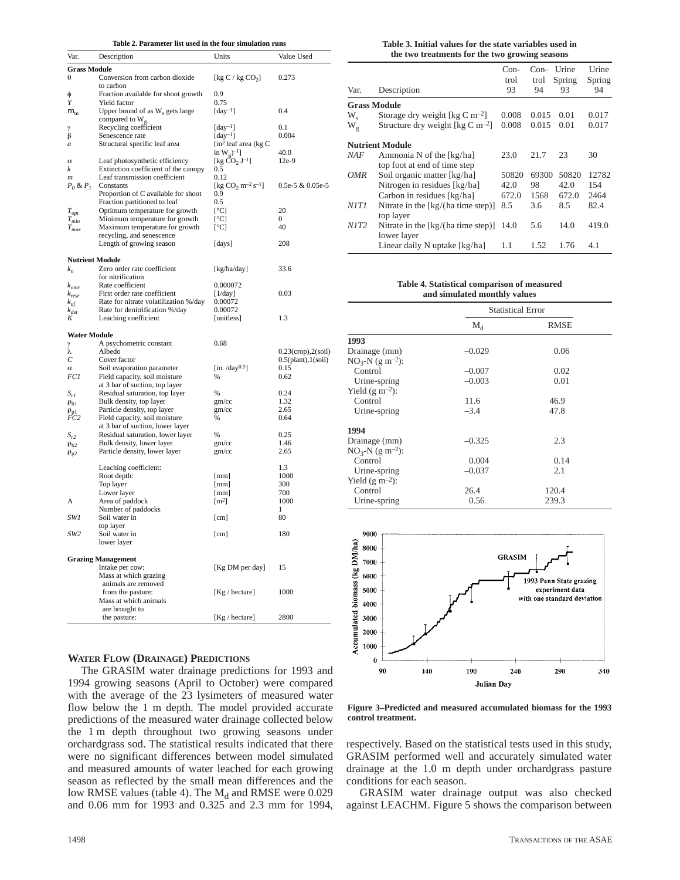**Table 2. Parameter list used in the four simulation runs**

| Var.                           | Description                                                                | Units                                                      | Value Used                |
|--------------------------------|----------------------------------------------------------------------------|------------------------------------------------------------|---------------------------|
| <b>Grass Module</b>            |                                                                            |                                                            |                           |
| θ                              | Conversion from carbon dioxide<br>to carbon                                | [kg C / kg $CO2$ ]                                         | 0.273                     |
| ф                              | Fraction available for shoot growth                                        | 0.9                                                        |                           |
| Ÿ                              | Yield factor                                                               | 0.75                                                       |                           |
| $m_{\rm m}$                    | Upper bound of as W <sub>s</sub> gets large<br>compared to W <sub>g.</sub> | $[day^{-1}]$                                               | 0.4                       |
| γ                              | Recycling coefficient                                                      | $\lceil \text{day}^{-1} \rceil$                            | 0.1                       |
| β                              | Senescence rate                                                            | $[day^{-1}]$                                               | 0.004                     |
| $\overline{a}$                 | Structural specific leaf area                                              | [m <sup>2</sup> leaf area (kg $C$                          |                           |
|                                |                                                                            | in $W_g$ ) <sup>-1</sup> ]<br>[kg $CO_2$ J <sup>-1</sup> ] | 40.0                      |
| $\alpha$                       | Leaf photosynthetic efficiency                                             |                                                            | $12e-9$                   |
| k                              | Extinction coefficient of the canopy                                       | 0.5                                                        |                           |
| $\mathfrak{m}$                 | Leaf transmission coefficient                                              | 0.12                                                       |                           |
| $P_0 \& P_1$                   | Constants                                                                  | [kg $CO_2$ m <sup>-2</sup> s <sup>-1</sup> ]               | 0.5e-5 & 0.05e-5          |
|                                | Proportion of C available for shoot                                        | 0.9                                                        |                           |
|                                | Fraction partitioned to leaf                                               | 0.5<br>$\lceil{^{\circ}C}\rceil$                           | 20                        |
| $\frac{T_{opt}}{T_{min}}$      | Optimum temperature for growth<br>Minimum temperature for growth           | [°C]                                                       | 0                         |
| $T_{max}$                      | Maximum temperature for growth                                             | [°C]                                                       | 40                        |
|                                | recycling, and senescence                                                  |                                                            |                           |
|                                | Length of growing season                                                   | [days]                                                     | 208                       |
|                                | <b>Nutrient Module</b>                                                     |                                                            |                           |
| $k_n$                          | Zero order rate coefficient                                                | [kg/ha/day]                                                | 33.6                      |
|                                | for nitrification                                                          |                                                            |                           |
| $k_{omr}$                      | Rate coefficient                                                           | 0.000072                                                   |                           |
| $k_{resr}$                     | First order rate coefficient                                               | [1/day]                                                    | 0.03                      |
| $k_{af}$                       | Rate for nitrate volatilization %/day                                      | 0.00072                                                    |                           |
| $k_{\text{det}}$<br>K          | Rate for denitrification %/day                                             | 0.00072                                                    |                           |
|                                | Leaching coefficient                                                       | [unitless]                                                 | 1.3                       |
| <b>Water Module</b>            | A psychometric constant                                                    | 0.68                                                       |                           |
| γ<br>λ                         | Albedo                                                                     |                                                            | $0.23$ (crop), $2$ (soil) |
| C                              | Cover factor                                                               |                                                            | $0.5$ (plant), $1$ (soil) |
| $\alpha$                       | Soil evaporation parameter                                                 | [in. $/day^{0.5}$ ]                                        | 0.15                      |
| FC1                            | Field capacity, soil moisture                                              | %                                                          | 0.62                      |
|                                | at 3 bar of suction, top layer                                             |                                                            |                           |
| $S_{rI}$                       | Residual saturation, top layer                                             | %                                                          | 0.24                      |
| $\rho_{b1}$                    | Bulk density, top layer                                                    | gm/cc                                                      | 1.32                      |
| $\rho_{p1} \over \mathit{FC2}$ | Particle density, top layer                                                | gm/cc                                                      | 2.65                      |
|                                | Field capacity, soil moisture                                              | %                                                          | 0.64                      |
|                                | at 3 bar of suction, lower layer                                           |                                                            |                           |
| $S_{r2}$                       | Residual saturation, lower layer                                           | %                                                          | 0.25                      |
| $\rho_{b2}$                    | Bulk density, lower layer                                                  | gm/cc<br>gm/cc                                             | 1.46<br>2.65              |
| $\rho_{p2}$                    | Particle density, lower layer                                              |                                                            |                           |
|                                | Leaching coefficient:                                                      |                                                            | 1.3                       |
|                                | Root depth:                                                                | [mm]                                                       | 1000                      |
|                                | Top layer                                                                  | [mm]                                                       | 300                       |
| А                              | Lower layer                                                                | [mm]                                                       | 700<br>1000               |
|                                | Area of paddock<br>Number of paddocks                                      | [m <sup>2</sup> ]                                          | 1                         |
| SW1                            | Soil water in                                                              | [cm]                                                       | 80                        |
|                                | top layer                                                                  |                                                            |                           |
| SW2                            | Soil water in                                                              | $\lceil$ cm $\rceil$                                       | 180                       |
|                                | lower layer                                                                |                                                            |                           |
|                                | <b>Grazing Management</b>                                                  |                                                            |                           |
|                                | Intake per cow:                                                            | [Kg DM per day]                                            | 15                        |
|                                | Mass at which grazing                                                      |                                                            |                           |
|                                | animals are removed                                                        |                                                            |                           |
|                                | from the pasture:                                                          | [Kg / hectare]                                             | 1000                      |
|                                | Mass at which animals                                                      |                                                            |                           |
|                                | are brought to                                                             |                                                            |                           |
|                                | the pasture:                                                               | [Kg / hectare]                                             | 2800                      |

## **WATER FLOW (DRAINAGE) PREDICTIONS**

The GRASIM water drainage predictions for 1993 and 1994 growing seasons (April to October) were compared with the average of the 23 lysimeters of measured water flow below the 1 m depth. The model provided accurate predictions of the measured water drainage collected below the 1 m depth throughout two growing seasons under orchardgrass sod. The statistical results indicated that there were no significant differences between model simulated and measured amounts of water leached for each growing season as reflected by the small mean differences and the low RMSE values (table 4). The  $M_d$  and RMSE were 0.029 and 0.06 mm for 1993 and 0.325 and 2.3 mm for 1994, **Table 3. Initial values for the state variables used in** the two treatments for the two growing sease

| and the dictional formation $\mathcal{L}_{\text{max}}$ of $\mathcal{L}_{\text{max}}$ between |                                                                                           |                        |                      |                        |                       |
|----------------------------------------------------------------------------------------------|-------------------------------------------------------------------------------------------|------------------------|----------------------|------------------------|-----------------------|
| Var.                                                                                         | Description                                                                               | $Con-$<br>trol<br>93   | $Con-$<br>trol<br>94 | Urine<br>Spring<br>93  | Urine<br>Spring<br>94 |
|                                                                                              | <b>Grass Module</b>                                                                       |                        |                      |                        |                       |
| W.                                                                                           | Storage dry weight [kg C m <sup>-2</sup> ]                                                | 0.008                  | 0.015                | 0.01                   | 0.017                 |
| $\rm W_{g}$                                                                                  | Structure dry weight [kg C m <sup>-2</sup> ]                                              | 0.008                  | 0.015                | 0.01                   | 0.017                 |
|                                                                                              | <b>Nutrient Module</b>                                                                    |                        |                      |                        |                       |
| NAF                                                                                          | Ammonia N of the [kg/ha]<br>top foot at end of time step                                  | 23.0                   | 21.7                 | 23                     | 30                    |
| OMR                                                                                          | Soil organic matter [kg/ha]<br>Nitrogen in residues [kg/ha]<br>Carbon in residues [kg/ha] | 50820<br>42.0<br>672.0 | 69300<br>98<br>1568  | 50820<br>42.0<br>672.0 | 12782<br>154<br>2464  |
| NITI                                                                                         | Nitrate in the $\lceil \frac{kg}{(ha \, time \, step)} \rceil$<br>top layer               | 8.5                    | 3.6                  | 8.5                    | 82.4                  |
| N1T2                                                                                         | Nitrate in the $\lceil \frac{kg}{(ha \, time \, step)} \rceil$<br>lower layer             | 14.0                   | 5.6                  | 14.0                   | 419.0                 |
|                                                                                              | Linear daily N uptake [kg/ha]                                                             | 1.1                    | 1.52                 | 1.76                   | 4.1                   |

| Table 4. Statistical comparison of measured |
|---------------------------------------------|
| and simulated monthly values                |

|                               | <b>Statistical Error</b> |       |  |
|-------------------------------|--------------------------|-------|--|
|                               | $M_d$                    | RMSE  |  |
| 1993                          |                          |       |  |
| Drainage (mm)                 | $-0.029$                 | 0.06  |  |
| $NO3-N$ (g m <sup>-2</sup> ): |                          |       |  |
| Control                       | $-0.007$                 | 0.02  |  |
| Urine-spring                  | $-0.003$                 | 0.01  |  |
| Yield $(g m-2)$ :             |                          |       |  |
| Control                       | 11.6                     | 46.9  |  |
| Urine-spring                  | $-3.4$                   | 47.8  |  |
| 1994                          |                          |       |  |
| Drainage (mm)                 | $-0.325$                 | 2.3   |  |
| $NO3-N$ (g m <sup>-2</sup> ): |                          |       |  |
| Control                       | 0.004                    | 0.14  |  |
| Urine-spring                  | $-0.037$                 | 2.1   |  |
| Yield $(g m-2)$ :             |                          |       |  |
| Control                       | 26.4                     | 120.4 |  |
| Urine-spring                  | 0.56                     | 239.3 |  |



**Figure 3–Predicted and measured accumulated biomass for the 1993 control treatment.**

respectively. Based on the statistical tests used in this study, GRASIM performed well and accurately simulated water drainage at the 1.0 m depth under orchardgrass pasture conditions for each season.

GRASIM water drainage output was also checked against LEACHM. Figure 5 shows the comparison between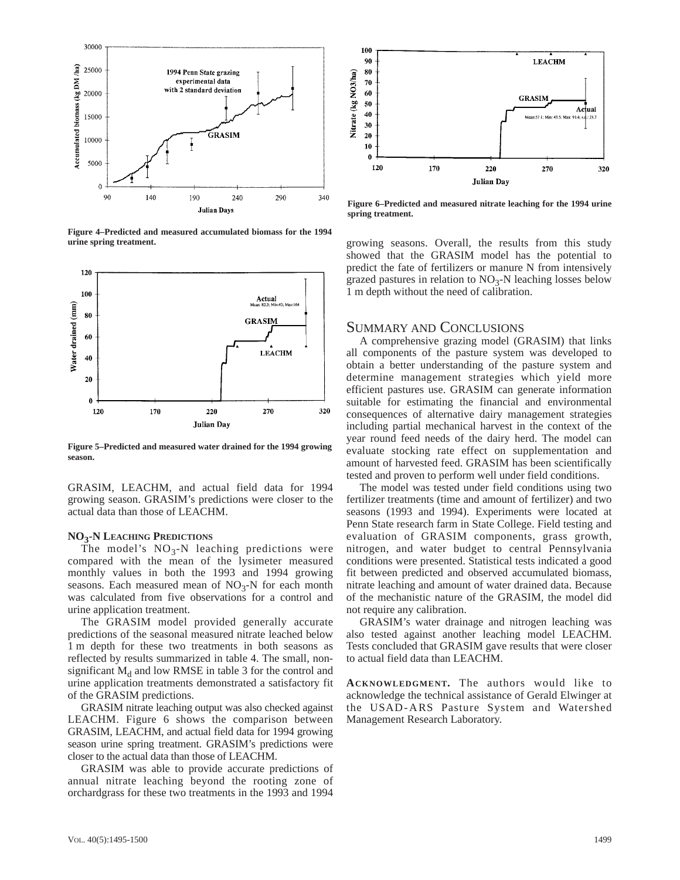

**Figure 4–Predicted and measured accumulated biomass for the 1994 urine spring treatment.**



**Figure 5–Predicted and measured water drained for the 1994 growing season.**

GRASIM, LEACHM, and actual field data for 1994 growing season. GRASIM's predictions were closer to the actual data than those of LEACHM.

## **NO3-N LEACHING PREDICTIONS**

The model's  $NO<sub>3</sub>-N$  leaching predictions were compared with the mean of the lysimeter measured monthly values in both the 1993 and 1994 growing seasons. Each measured mean of  $NO<sub>3</sub>-N$  for each month was calculated from five observations for a control and urine application treatment.

The GRASIM model provided generally accurate predictions of the seasonal measured nitrate leached below 1 m depth for these two treatments in both seasons as reflected by results summarized in table 4. The small, nonsignificant  $M_d$  and low RMSE in table 3 for the control and urine application treatments demonstrated a satisfactory fit of the GRASIM predictions.

GRASIM nitrate leaching output was also checked against LEACHM. Figure 6 shows the comparison between GRASIM, LEACHM, and actual field data for 1994 growing season urine spring treatment. GRASIM's predictions were closer to the actual data than those of LEACHM.

GRASIM was able to provide accurate predictions of annual nitrate leaching beyond the rooting zone of orchardgrass for these two treatments in the 1993 and 1994



**Figure 6–Predicted and measured nitrate leaching for the 1994 urine spring treatment.**

growing seasons. Overall, the results from this study showed that the GRASIM model has the potential to predict the fate of fertilizers or manure N from intensively grazed pastures in relation to  $NO<sub>3</sub>$ -N leaching losses below 1 m depth without the need of calibration.

## SUMMARY AND CONCLUSIONS

A comprehensive grazing model (GRASIM) that links all components of the pasture system was developed to obtain a better understanding of the pasture system and determine management strategies which yield more efficient pastures use. GRASIM can generate information suitable for estimating the financial and environmental consequences of alternative dairy management strategies including partial mechanical harvest in the context of the year round feed needs of the dairy herd. The model can evaluate stocking rate effect on supplementation and amount of harvested feed. GRASIM has been scientifically tested and proven to perform well under field conditions.

The model was tested under field conditions using two fertilizer treatments (time and amount of fertilizer) and two seasons (1993 and 1994). Experiments were located at Penn State research farm in State College. Field testing and evaluation of GRASIM components, grass growth, nitrogen, and water budget to central Pennsylvania conditions were presented. Statistical tests indicated a good fit between predicted and observed accumulated biomass, nitrate leaching and amount of water drained data. Because of the mechanistic nature of the GRASIM, the model did not require any calibration.

GRASIM's water drainage and nitrogen leaching was also tested against another leaching model LEACHM. Tests concluded that GRASIM gave results that were closer to actual field data than LEACHM.

**ACKNOWLEDGMENT.** The authors would like to acknowledge the technical assistance of Gerald Elwinger at the USAD-ARS Pasture System and Watershed Management Research Laboratory.